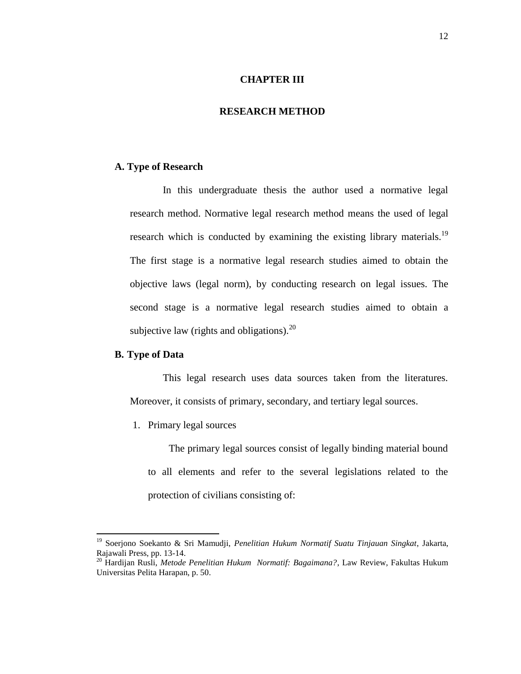## **CHAPTER III**

#### **RESEARCH METHOD**

#### **A. Type of Research**

In this undergraduate thesis the author used a normative legal research method. Normative legal research method means the used of legal research which is conducted by examining the existing library materials.<sup>19</sup> The first stage is a normative legal research studies aimed to obtain the objective laws (legal norm), by conducting research on legal issues. The second stage is a normative legal research studies aimed to obtain a subjective law (rights and obligations). $^{20}$ 

#### **B. Type of Data**

 $\overline{a}$ 

This legal research uses data sources taken from the literatures. Moreover, it consists of primary, secondary, and tertiary legal sources.

1. Primary legal sources

The primary legal sources consist of legally binding material bound to all elements and refer to the several legislations related to the protection of civilians consisting of:

<sup>19</sup> Soerjono Soekanto & Sri Mamudji, *Penelitian Hukum Normatif Suatu Tinjauan Singkat*, Jakarta, Rajawali Press, pp. 13-14.

<sup>20</sup> Hardijan Rusli, *Metode Penelitian Hukum Normatif: Bagaimana?*, Law Review, Fakultas Hukum Universitas Pelita Harapan, p. 50.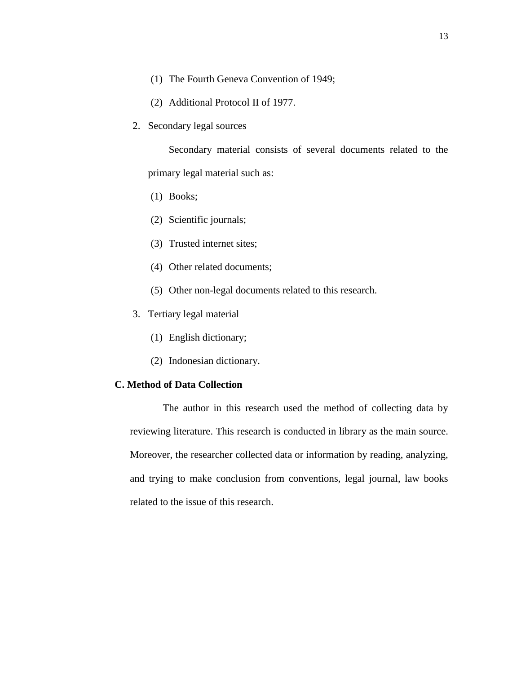- (1) The Fourth Geneva Convention of 1949;
- (2) Additional Protocol II of 1977.
- 2. Secondary legal sources

Secondary material consists of several documents related to the primary legal material such as:

- (1) Books;
- (2) Scientific journals;
- (3) Trusted internet sites;
- (4) Other related documents;
- (5) Other non-legal documents related to this research.
- 3. Tertiary legal material
	- (1) English dictionary;
	- (2) Indonesian dictionary.

## **C. Method of Data Collection**

The author in this research used the method of collecting data by reviewing literature. This research is conducted in library as the main source. Moreover, the researcher collected data or information by reading, analyzing, and trying to make conclusion from conventions, legal journal, law books related to the issue of this research.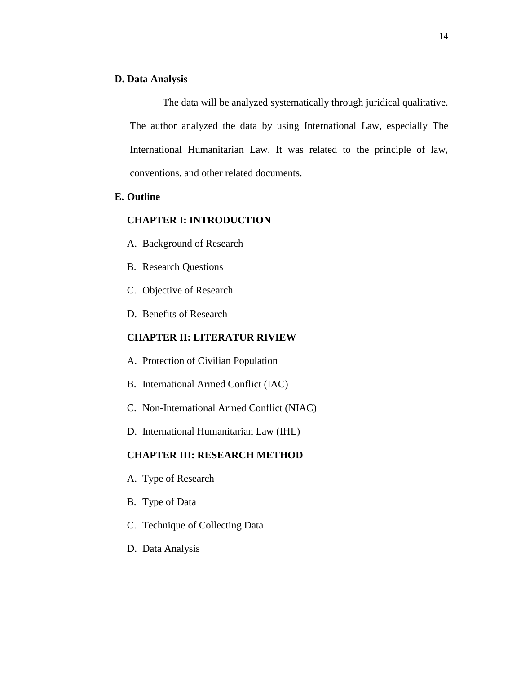#### **D. Data Analysis**

The data will be analyzed systematically through juridical qualitative. The author analyzed the data by using International Law, especially The International Humanitarian Law. It was related to the principle of law, conventions, and other related documents.

### **E. Outline**

# **CHAPTER I: INTRODUCTION**

- A. Background of Research
- B. Research Questions
- C. Objective of Research
- D. Benefits of Research

## **CHAPTER II: LITERATUR RIVIEW**

- A. Protection of Civilian Population
- B. International Armed Conflict (IAC)
- C. Non-International Armed Conflict (NIAC)
- D. International Humanitarian Law (IHL)

## **CHAPTER III: RESEARCH METHOD**

- A. Type of Research
- B. Type of Data
- C. Technique of Collecting Data
- D. Data Analysis